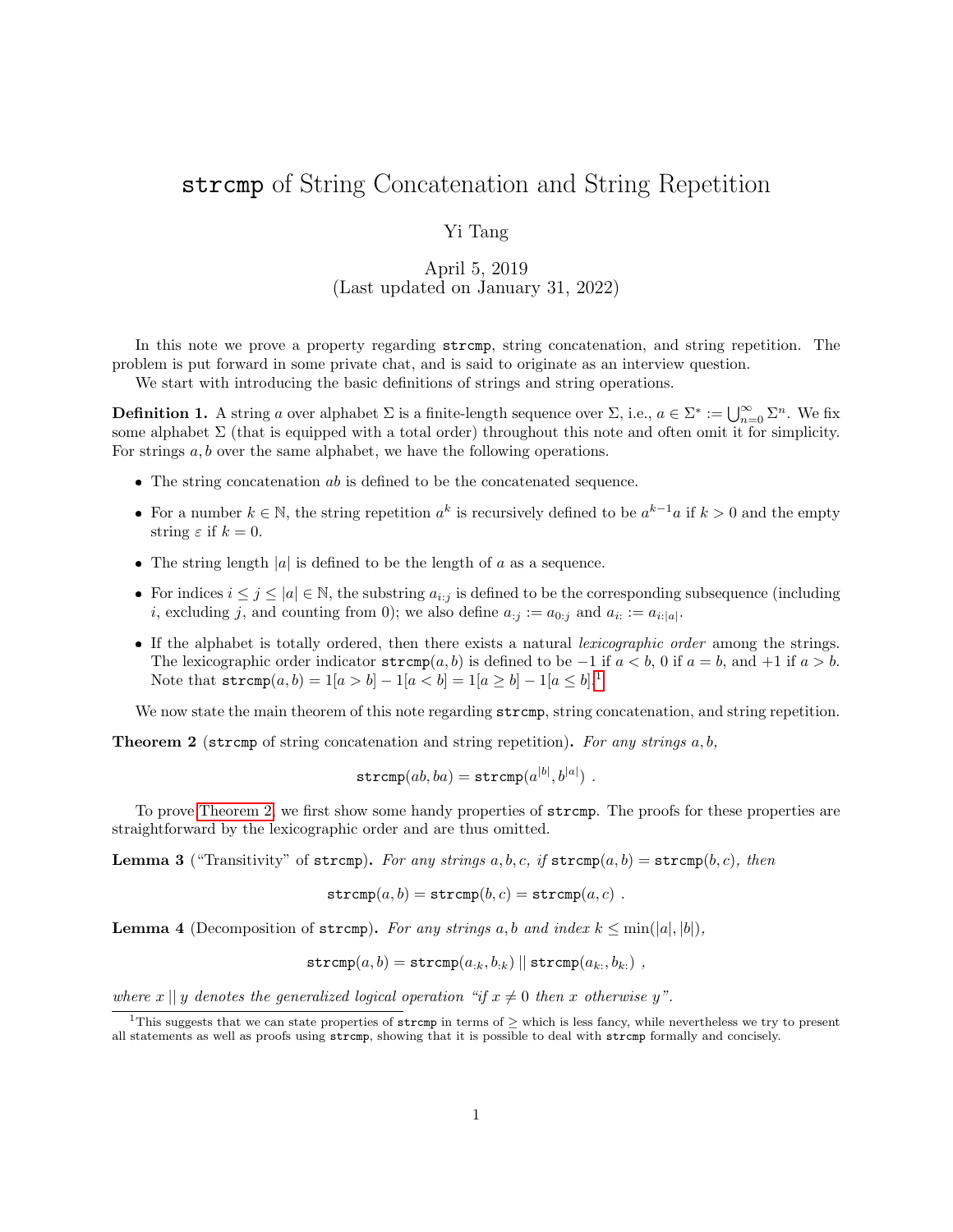## strcmp of String Concatenation and String Repetition

## Yi Tang

## April 5, 2019 (Last updated on January 31, 2022)

In this note we prove a property regarding strcmp, string concatenation, and string repetition. The problem is put forward in some private chat, and is said to originate as an interview question.

We start with introducing the basic definitions of strings and string operations.

**Definition 1.** A string a over alphabet  $\Sigma$  is a finite-length sequence over  $\Sigma$ , i.e.,  $a \in \Sigma^* := \bigcup_{n=0}^{\infty} \Sigma^n$ . We fix some alphabet  $\Sigma$  (that is equipped with a total order) throughout this note and often omit it for simplicity. For strings a, b over the same alphabet, we have the following operations.

- $\bullet$  The string concatenation  $ab$  is defined to be the concatenated sequence.
- For a number  $k \in \mathbb{N}$ , the string repetition  $a^k$  is recursively defined to be  $a^{k-1}a$  if  $k > 0$  and the empty string  $\varepsilon$  if  $k = 0$ .
- The string length  $|a|$  is defined to be the length of a as a sequence.
- For indices  $i \leq j \leq |a| \in \mathbb{N}$ , the substring  $a_{i:j}$  is defined to be the corresponding subsequence (including *i*, excluding *j*, and counting from 0); we also define  $a_{:j} := a_{0:j}$  and  $a_{i:} := a_{i:[a]}$ .
- If the alphabet is totally ordered, then there exists a natural *lexicographic order* among the strings. The lexicographic order indicator  $\text{stremp}(a, b)$  is defined to be −1 if  $a < b$ , 0 if  $a = b$ , and +1 if  $a > b$ . Note that  $\text{stremp}(a, b) = 1|a > b| - 1|a < b| = 1|a \ge b| - 1|a \le b|$  $\text{stremp}(a, b) = 1|a > b| - 1|a < b| = 1|a \ge b| - 1|a \le b|$  $\text{stremp}(a, b) = 1|a > b| - 1|a < b| = 1|a \ge b| - 1|a \le b|$ .

We now state the main theorem of this note regarding  $\text{stremp}$ , string concatenation, and string repetition.

<span id="page-0-1"></span>**Theorem 2** (stromp of string concatenation and string repetition). For any strings  $a, b$ ,

$$
\mathtt{strcmp}(ab,ba) = \mathtt{strcmp}(a^{|b|},b^{|a|})\ .
$$

To prove [Theorem 2,](#page-0-1) we first show some handy properties of strcmp. The proofs for these properties are straightforward by the lexicographic order and are thus omitted.

<span id="page-0-4"></span>**Lemma 3** ("Transitivity" of strcmp). For any strings  $a, b, c, if \text{strcmp}(a, b) = \text{strcmp}(b, c), then$ 

$$
\mathtt{strcmp}(a,b)=\mathtt{strcmp}(b,c)=\mathtt{strcmp}(a,c)\ .
$$

<span id="page-0-2"></span>**Lemma 4** (Decomposition of stromp). For any strings a, b and index  $k \leq min(|a|, |b|)$ ,

$$
\mathtt{strcmp}(a,b)=\mathtt{strcmp}(a_{:k},b_{:k})||\mathtt{strcmp}(a_{k:},b_{k:}) ,
$$

where  $x \parallel y$  denotes the generalized logical operation "if  $x \neq 0$  then x otherwise y".

<span id="page-0-3"></span><span id="page-0-0"></span><sup>&</sup>lt;sup>1</sup>This suggests that we can state properties of strcmp in terms of  $>$  which is less fancy, while nevertheless we try to present all statements as well as proofs using strcmp, showing that it is possible to deal with strcmp formally and concisely.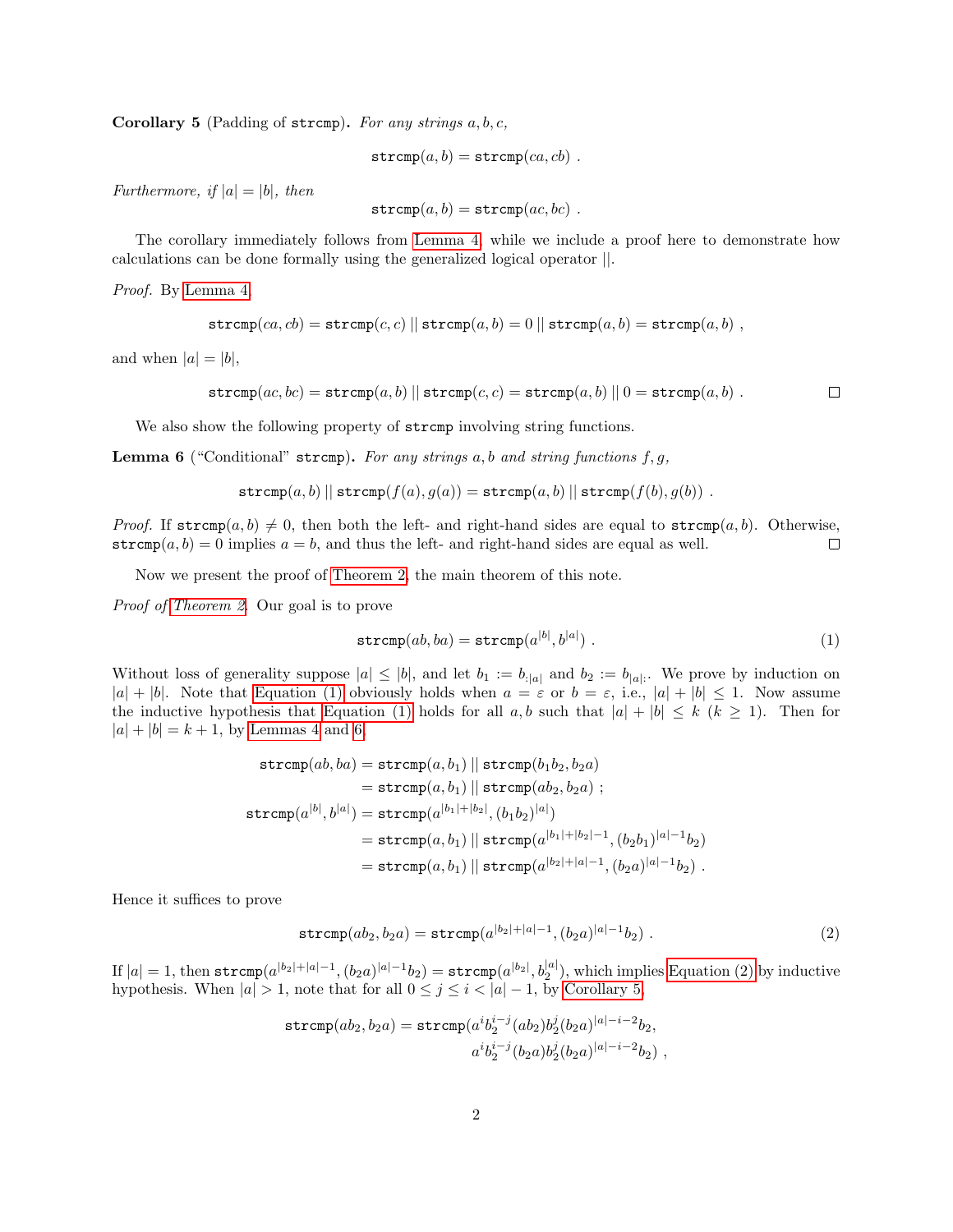**Corollary 5** (Padding of stromp). For any strings  $a, b, c$ ,

$$
\mathtt{strcmp}(a,b)=\mathtt{strcmp}(ca,cb)\enspace.
$$

Furthermore, if  $|a| = |b|$ , then

$$
\mathtt{strcmp}(a,b)=\mathtt{strcmp}(ac,bc)\enspace.
$$

The corollary immediately follows from [Lemma 4,](#page-0-2) while we include a proof here to demonstrate how calculations can be done formally using the generalized logical operator ||.

Proof. By [Lemma 4,](#page-0-2)

$$
\mathtt{strcmp}(ca, cb) = \mathtt{strcmp}(c, c) \mid \mid \mathtt{strcmp}(a, b) = 0 \mid \mid \mathtt{strcmp}(a, b) = \mathtt{strcmp}(a, b) ,
$$

and when  $|a| = |b|$ ,

$$
\mathtt{strcmp}(ac, bc) = \mathtt{strcmp}(a, b) \mid \mid \mathtt{strcmp}(c, c) = \mathtt{strcmp}(a, b) \mid \mid 0 = \mathtt{strcmp}(a, b) \; . \qquad \qquad \Box
$$

We also show the following property of stromp involving string functions.

<span id="page-1-1"></span>**Lemma 6** ("Conditional" strcmp). For any strings a, b and string functions f, g,

$$
\texttt{strcmp}(a, b) \parallel \texttt{strcmp}(f(a), g(a)) = \texttt{strcmp}(a, b) \parallel \texttt{strcmp}(f(b), g(b)) .
$$

*Proof.* If  $\text{stremp}(a, b) \neq 0$ , then both the left- and right-hand sides are equal to  $\text{stremp}(a, b)$ . Otherwise, strcmp $(a, b) = 0$  implies  $a = b$ , and thus the left- and right-hand sides are equal as well.  $\Box$ 

Now we present the proof of [Theorem 2,](#page-0-1) the main theorem of this note.

Proof of [Theorem 2.](#page-0-1) Our goal is to prove

<span id="page-1-0"></span>
$$
strcmp(ab,ba) = strcmp(a^{|b|},b^{|a|})
$$
 (1)

Without loss of generality suppose  $|a| \leq |b|$ , and let  $b_1 := b_{\cdot}|a|$  and  $b_2 := b_{\cdot}|a|$ . We prove by induction on  $|a| + |b|$ . Note that [Equation \(1\)](#page-1-0) obviously holds when  $a = \varepsilon$  or  $b = \varepsilon$ , i.e.,  $|a| + |b| \le 1$ . Now assume the inductive hypothesis that [Equation \(1\)](#page-1-0) holds for all  $a, b$  such that  $|a| + |b| \leq k (k \geq 1)$ . Then for  $|a| + |b| = k + 1$ , by [Lemmas 4](#page-0-2) and [6,](#page-1-1)

$$
\begin{aligned} \texttt{strcmp}(ab, ba) & = \texttt{strcmp}(a, b_1) \mid \texttt{strcmp}(b_1b_2, b_2a) \\ & = \texttt{strcmp}(a, b_1) \mid \texttt{strcmp}(ab_2, b_2a) \; ; \\ \texttt{strcmp}(a^{|b|}, b^{|a|}) & = \texttt{strcmp}(a^{|b_1|+|b_2|}, (b_1b_2)^{|a|}) \\ & = \texttt{strcmp}(a, b_1) \mid \texttt{strcmp}(a^{|b_1|+|b_2|-1}, (b_2b_1)^{|a|-1}b_2) \\ & = \texttt{strcmp}(a, b_1) \mid \texttt{strcmp}(a^{|b_2|+|a|-1}, (b_2a)^{|a|-1}b_2) \; . \end{aligned}
$$

Hence it suffices to prove

<span id="page-1-2"></span>
$$
\texttt{strcmp}(ab_2, b_2a) = \texttt{strcmp}(a^{|b_2|+|a|-1}, (b_2a)^{|a|-1}b_2) . \tag{2}
$$

 $\text{If }|a|=1\text{, then }\texttt{strcmp}(a^{|b_2|+|a|-1},(b_2a)^{|a|-1}b_2)=\texttt{strcmp}(a^{|b_2|},b_2^{|a|}), \text{which implies Equation (2) by inductive}.$  $\text{If }|a|=1\text{, then }\texttt{strcmp}(a^{|b_2|+|a|-1},(b_2a)^{|a|-1}b_2)=\texttt{strcmp}(a^{|b_2|},b_2^{|a|}), \text{which implies Equation (2) by inductive}.$  $\text{If }|a|=1\text{, then }\texttt{strcmp}(a^{|b_2|+|a|-1},(b_2a)^{|a|-1}b_2)=\texttt{strcmp}(a^{|b_2|},b_2^{|a|}), \text{which implies Equation (2) by inductive}.$ hypothesis. When  $|a| > 1$ , note that for all  $0 \leq j \leq i < |a| - 1$ , by [Corollary 5,](#page-0-3)

$$
\begin{aligned} \mathtt{strcmp}(ab_2,b_2a)=\mathtt{strcmp}(a^ib_2^{i-j}(ab_2)b_2^j(b_2a)^{|a|-i-2}b_2,\\ a^ib_2^{i-j}(b_2a)b_2^j(b_2a)^{|a|-i-2}b_2)\ , \end{aligned}
$$